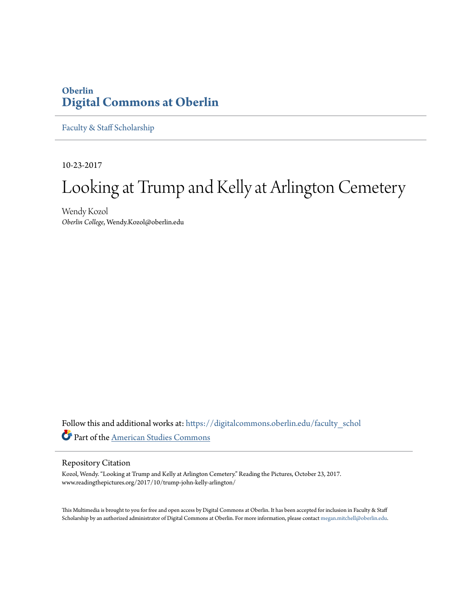# **Oberlin [Digital Commons at Oberlin](https://digitalcommons.oberlin.edu?utm_source=digitalcommons.oberlin.edu%2Ffaculty_schol%2F3855&utm_medium=PDF&utm_campaign=PDFCoverPages)**

[Faculty & Staff Scholarship](https://digitalcommons.oberlin.edu/faculty_schol?utm_source=digitalcommons.oberlin.edu%2Ffaculty_schol%2F3855&utm_medium=PDF&utm_campaign=PDFCoverPages)

10-23-2017

# Looking at Trump and Kelly at Arlington Cemetery

Wendy Kozol *Oberlin College*, Wendy.Kozol@oberlin.edu

Follow this and additional works at: [https://digitalcommons.oberlin.edu/faculty\\_schol](https://digitalcommons.oberlin.edu/faculty_schol?utm_source=digitalcommons.oberlin.edu%2Ffaculty_schol%2F3855&utm_medium=PDF&utm_campaign=PDFCoverPages) Part of the [American Studies Commons](http://network.bepress.com/hgg/discipline/439?utm_source=digitalcommons.oberlin.edu%2Ffaculty_schol%2F3855&utm_medium=PDF&utm_campaign=PDFCoverPages)

#### Repository Citation

Kozol, Wendy. "Looking at Trump and Kelly at Arlington Cemetery." Reading the Pictures, October 23, 2017. www.readingthepictures.org/2017/10/trump-john-kelly-arlington/

This Multimedia is brought to you for free and open access by Digital Commons at Oberlin. It has been accepted for inclusion in Faculty & Staff Scholarship by an authorized administrator of Digital Commons at Oberlin. For more information, please contact [megan.mitchell@oberlin.edu.](mailto:megan.mitchell@oberlin.edu)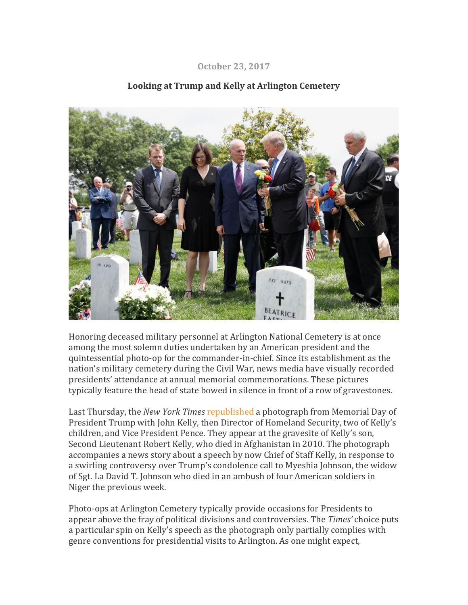#### **October 23, 2017**



## Looking at Trump and Kelly at Arlington Cemetery

Honoring deceased military personnel at Arlington National Cemetery is at once among the most solemn duties undertaken by an American president and the quintessential photo-op for the commander-in-chief. Since its establishment as the nation's military cemetery during the Civil War, news media have visually recorded presidents' attendance at annual memorial commemorations. These pictures typically feature the head of state bowed in silence in front of a row of gravestones.

Last Thursday, the *New York Times* republished a photograph from Memorial Day of President Trump with John Kelly, then Director of Homeland Security, two of Kelly's children, and Vice President Pence. They appear at the gravesite of Kelly's son, Second Lieutenant Robert Kelly, who died in Afghanistan in 2010. The photograph accompanies a news story about a speech by now Chief of Staff Kelly, in response to a swirling controversy over Trump's condolence call to Myeshia Johnson, the widow of Sgt. La David T. Johnson who died in an ambush of four American soldiers in Niger the previous week.

Photo-ops at Arlington Cemetery typically provide occasions for Presidents to appear above the fray of political divisions and controversies. The *Times'* choice puts a particular spin on Kelly's speech as the photograph only partially complies with genre conventions for presidential visits to Arlington. As one might expect,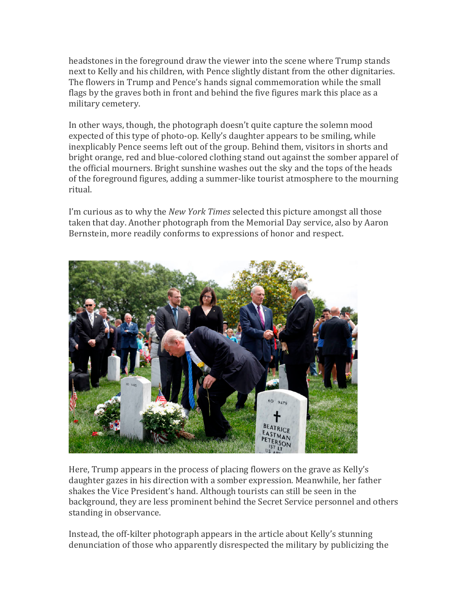headstones in the foreground draw the viewer into the scene where Trump stands next to Kelly and his children, with Pence slightly distant from the other dignitaries. The flowers in Trump and Pence's hands signal commemoration while the small flags by the graves both in front and behind the five figures mark this place as a military cemetery.

In other ways, though, the photograph doesn't quite capture the solemn mood expected of this type of photo-op. Kelly's daughter appears to be smiling, while inexplicably Pence seems left out of the group. Behind them, visitors in shorts and bright orange, red and blue-colored clothing stand out against the somber apparel of the official mourners. Bright sunshine washes out the sky and the tops of the heads of the foreground figures, adding a summer-like tourist atmosphere to the mourning ritual.

I'm curious as to why the *New York Times* selected this picture amongst all those taken that day. Another photograph from the Memorial Day service, also by Aaron Bernstein, more readily conforms to expressions of honor and respect.



Here, Trump appears in the process of placing flowers on the grave as Kelly's daughter gazes in his direction with a somber expression. Meanwhile, her father shakes the Vice President's hand. Although tourists can still be seen in the background, they are less prominent behind the Secret Service personnel and others standing in observance.

Instead, the off-kilter photograph appears in the article about Kelly's stunning denunciation of those who apparently disrespected the military by publicizing the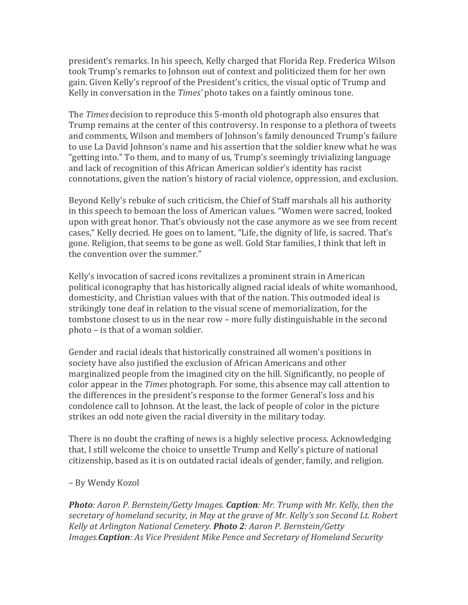president's remarks. In his speech, Kelly charged that Florida Rep. Frederica Wilson took Trump's remarks to Johnson out of context and politicized them for her own gain. Given Kelly's reproof of the President's critics, the visual optic of Trump and Kelly in conversation in the *Times'* photo takes on a faintly ominous tone.

The *Times* decision to reproduce this 5-month old photograph also ensures that Trump remains at the center of this controversy. In response to a plethora of tweets and comments, Wilson and members of Johnson's family denounced Trump's failure to use La David Johnson's name and his assertion that the soldier knew what he was "getting into." To them, and to many of us, Trump's seemingly trivializing language and lack of recognition of this African American soldier's identity has racist connotations, given the nation's history of racial violence, oppression, and exclusion.

Beyond Kelly's rebuke of such criticism, the Chief of Staff marshals all his authority in this speech to bemoan the loss of American values. "Women were sacred, looked upon with great honor. That's obviously not the case anymore as we see from recent cases," Kelly decried. He goes on to lament, "Life, the dignity of life, is sacred. That's gone. Religion, that seems to be gone as well. Gold Star families, I think that left in the convention over the summer."

Kelly's invocation of sacred icons revitalizes a prominent strain in American political iconography that has historically aligned racial ideals of white womanhood, domesticity, and Christian values with that of the nation. This outmoded ideal is strikingly tone deaf in relation to the visual scene of memorialization, for the tombstone closest to us in the near row – more fully distinguishable in the second  $photo - is that of a woman soldier.$ 

Gender and racial ideals that historically constrained all women's positions in society have also justified the exclusion of African Americans and other marginalized people from the imagined city on the hill. Significantly, no people of color appear in the *Times* photograph. For some, this absence may call attention to the differences in the president's response to the former General's loss and his condolence call to Johnson. At the least, the lack of people of color in the picture strikes an odd note given the racial diversity in the military today.

There is no doubt the crafting of news is a highly selective process. Acknowledging that, I still welcome the choice to unsettle Trump and Kelly's picture of national citizenship, based as it is on outdated racial ideals of gender, family, and religion.

### – By Wendy Kozol

**Photo***:* Aaron P. Bernstein/Getty Images. **Caption**: Mr. Trump with Mr. Kelly, then the secretary of homeland security, in May at the grave of Mr. Kelly's son Second Lt. Robert *Kelly at Arlington National Cemetery. Photo 2: Aaron P. Bernstein/Getty Images.***Caption**: As Vice President Mike Pence and Secretary of Homeland Security